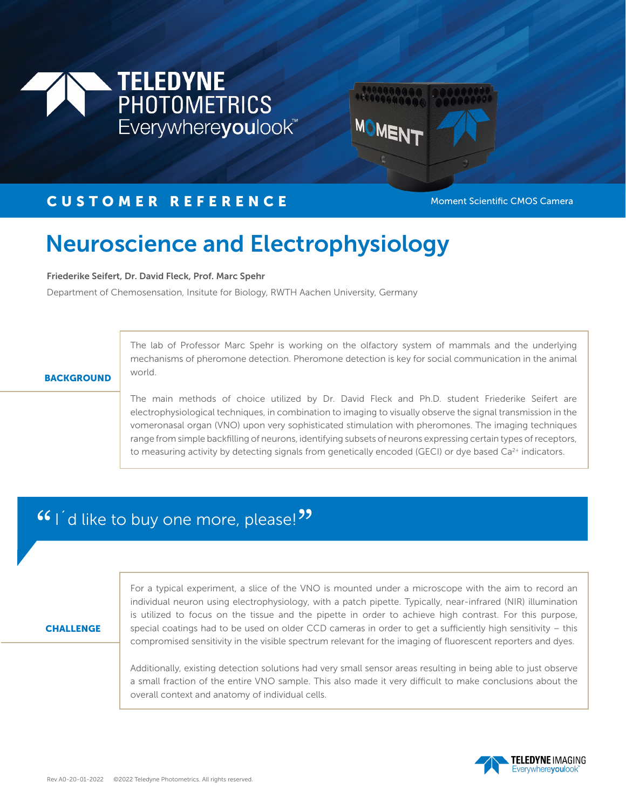



## CUSTOMER REFERENCE MODE Moment Scientific CMOS Camera

## Neuroscience and Electrophysiology

Friederike Seifert, Dr. David Fleck, Prof. Marc Spehr

Department of Chemosensation, Insitute for Biology, RWTH Aachen University, Germany

The lab of Professor Marc Spehr is working on the olfactory system of mammals and the underlying mechanisms of pheromone detection. Pheromone detection is key for social communication in the animal world.

### **BACKGROUND**

The main methods of choice utilized by Dr. David Fleck and Ph.D. student Friederike Seifert are electrophysiological techniques, in combination to imaging to visually observe the signal transmission in the vomeronasal organ (VNO) upon very sophisticated stimulation with pheromones. The imaging techniques range from simple backfilling of neurons, identifying subsets of neurons expressing certain types of receptors, to measuring activity by detecting signals from genetically encoded (GECI) or dye based  $Ca<sup>2+</sup>$  indicators.

# $\mathsf{G}$  I'd like to buy one more, please! ,<br>"

#### **CHALLENGE**

For a typical experiment, a slice of the VNO is mounted under a microscope with the aim to record an individual neuron using electrophysiology, with a patch pipette. Typically, near-infrared (NIR) illumination is utilized to focus on the tissue and the pipette in order to achieve high contrast. For this purpose, special coatings had to be used on older CCD cameras in order to get a sufficiently high sensitivity – this compromised sensitivity in the visible spectrum relevant for the imaging of fluorescent reporters and dyes.

Additionally, existing detection solutions had very small sensor areas resulting in being able to just observe a small fraction of the entire VNO sample. This also made it very difficult to make conclusions about the overall context and anatomy of individual cells.